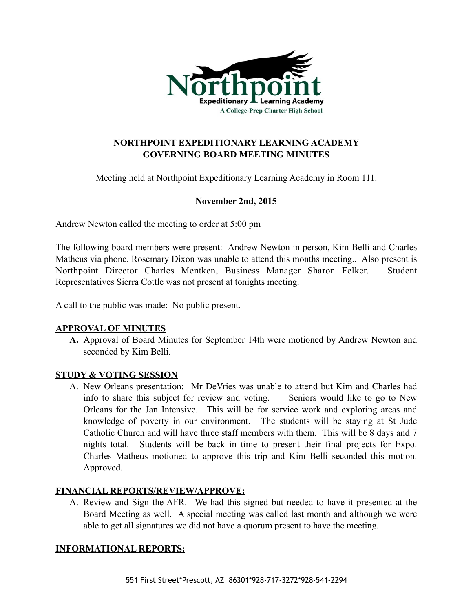

# **NORTHPOINT EXPEDITIONARY LEARNING ACADEMY GOVERNING BOARD MEETING MINUTES**

Meeting held at Northpoint Expeditionary Learning Academy in Room 111.

## **November 2nd, 2015**

Andrew Newton called the meeting to order at 5:00 pm

The following board members were present: Andrew Newton in person, Kim Belli and Charles Matheus via phone. Rosemary Dixon was unable to attend this months meeting.. Also present is Northpoint Director Charles Mentken, Business Manager Sharon Felker. Student Representatives Sierra Cottle was not present at tonights meeting.

A call to the public was made: No public present.

### **APPROVAL OF MINUTES**

**A.** Approval of Board Minutes for September 14th were motioned by Andrew Newton and seconded by Kim Belli.

### **STUDY & VOTING SESSION**

A. New Orleans presentation: Mr DeVries was unable to attend but Kim and Charles had info to share this subject for review and voting. Seniors would like to go to New Orleans for the Jan Intensive. This will be for service work and exploring areas and knowledge of poverty in our environment. The students will be staying at St Jude Catholic Church and will have three staff members with them. This will be 8 days and 7 nights total. Students will be back in time to present their final projects for Expo. Charles Matheus motioned to approve this trip and Kim Belli seconded this motion. Approved.

### **FINANCIAL REPORTS/REVIEW/APPROVE:**

A. Review and Sign the AFR. We had this signed but needed to have it presented at the Board Meeting as well. A special meeting was called last month and although we were able to get all signatures we did not have a quorum present to have the meeting.

### **INFORMATIONAL REPORTS:**